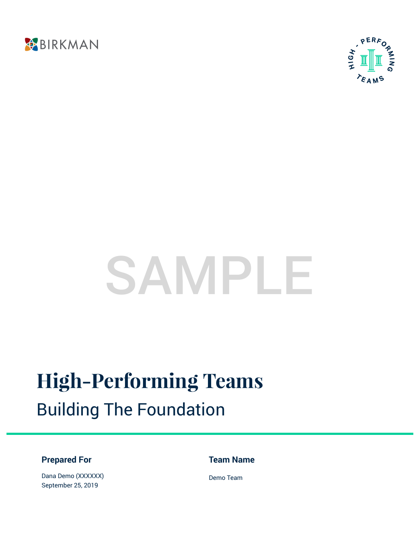



# SAMPLE

# **High-Performing Teams** Building The Foundation

### **Prepared For**

**Team Name**

Dana Demo (XXXXXX) September 25, 2019

Demo Team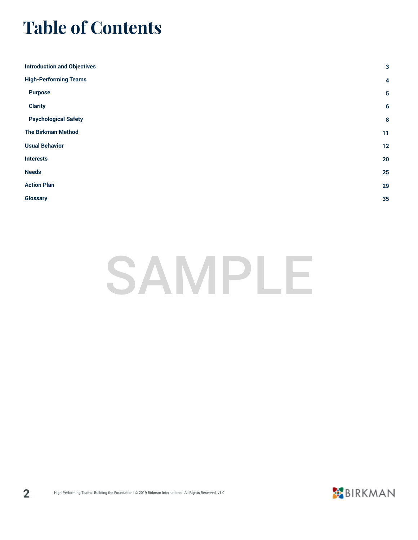### **Table of Contents**

| <b>Introduction and Objectives</b> | $\mathbf{3}$    |
|------------------------------------|-----------------|
| <b>High-Performing Teams</b>       | 4               |
| <b>Purpose</b>                     | $\sqrt{5}$      |
| <b>Clarity</b>                     | $6\phantom{1}6$ |
| <b>Psychological Safety</b>        | 8               |
| <b>The Birkman Method</b>          | 11              |
| <b>Usual Behavior</b>              | $12$            |
| <b>Interests</b>                   | 20              |
| <b>Needs</b>                       | 25              |
| <b>Action Plan</b>                 | 29              |
| <b>Glossary</b>                    | 35              |
|                                    |                 |

# SAMPLE

**2**

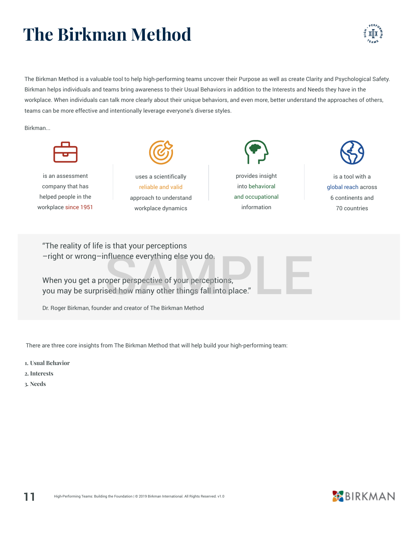# **The Birkman Method**

The Birkman Method is a valuable tool to help high-performing teams uncover their Purpose as well as create Clarity and Psychological Safety. Birkman helps individuals and teams bring awareness to their Usual Behaviors in addition to the Interests and Needs they have in the workplace. When individuals can talk more clearly about their unique behaviors, and even more, better understand the approaches of others, teams can be more effective and intentionally leverage everyone's diverse styles.

Birkman...



There are three core insights from The Birkman Method that will help build your high-performing team:

- **1. Usual Behavior**
- **2. Interests**
- **3. Needs**



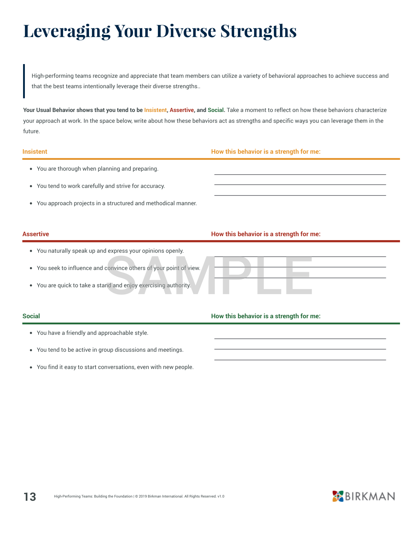### **Leveraging Your Diverse Strengths**

High-performing teams recognize and appreciate that team members can utilize a variety of behavioral approaches to achieve success and that the best teams intentionally leverage their diverse strengths..

**Your Usual Behavior shows that you tend to be Insistent, Assertive, and Social.** Take a moment to reflect on how these behaviors characterize your approach at work. In the space below, write about how these behaviors act as strengths and specific ways you can leverage them in the future.

#### **Insistent How this behavior is a strength for me:**

- You are thorough when planning and preparing.
- You tend to work carefully and strive for accuracy.  $\bullet$
- You approach projects in a structured and methodical manner.

#### **Assertive How this behavior is a strength for me:**

- You naturally speak up and express your opinions openly.
- You seek to influence and convince others of your point of view. convince others of your point of view.
- You are quick to take a stand and enjoy exercising authority.

### **Social How this behavior is a strength for me:**

- You have a friendly and approachable style.
- You tend to be active in group discussions and meetings.
- $\bullet$ You find it easy to start conversations, even with new people.

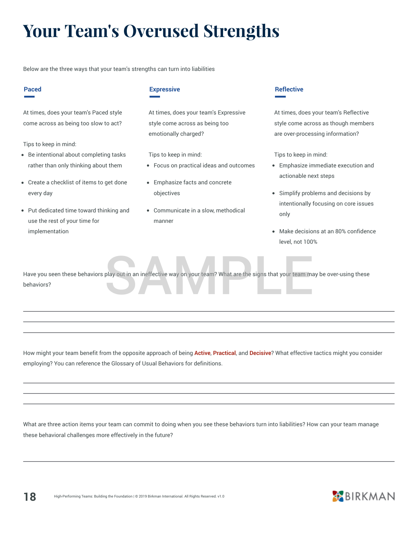## **Your Team's Overused Strengths**

Below are the three ways that your team's strengths can turn into liabilities

#### **Paced**

At times, does your team's Paced style come across as being too slow to act?

Tips to keep in mind:

- Be intentional about completing tasks rather than only thinking about them
- Create a checklist of items to get done every day
- Put dedicated time toward thinking and use the rest of your time for implementation

#### **Expressive**

At times, does your team's Expressive style come across as being too emotionally charged?

Tips to keep in mind:

- Focus on practical ideas and outcomes
- Emphasize facts and concrete objectives
- Communicate in a slow, methodical manner

#### **Reflective**

At times, does your team's Reflective style come across as though members are over-processing information?

Tips to keep in mind:

- Emphasize immediate execution and actionable next steps
- Simplify problems and decisions by intentionally focusing on core issues only
- Make decisions at an 80% confidence level, not 100%

Have you seen these behaviors play out in an ineffective way on your team? What are the signs that your team may be over-using these behaviors? play out in an ineffective way on your team? What are the signs that your team ma

How might your team benefit from the opposite approach of being **Active**, **Practical**, and **Decisive**? What effective tactics might you consider employing? You can reference the Glossary of Usual Behaviors for definitions.

What are three action items your team can commit to doing when you see these behaviors turn into liabilities? How can your team manage these behavioral challenges more effectively in the future?

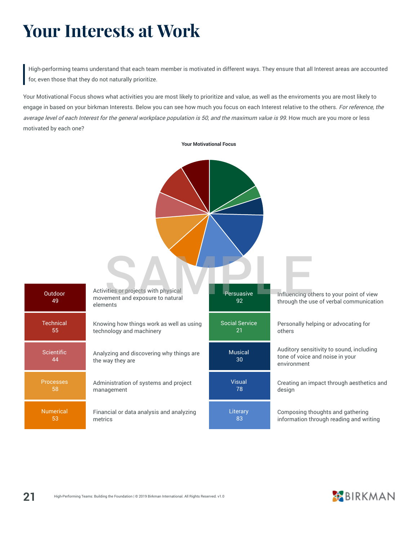### **Your Interests at Work**

High-performing teams understand that each team member is motivated in different ways. They ensure that all Interest areas are accounted for, even those that they do not naturally prioritize.

Your Motivational Focus shows what activities you are most likely to prioritize and value, as well as the enviroments you are most likely to engage in based on your birkman Interests. Below you can see how much you focus on each Interest relative to the others. For reference, the average level of each Interest for the general workplace population is 50, and the maximum value is 99. How much are you more or less motivated by each one?



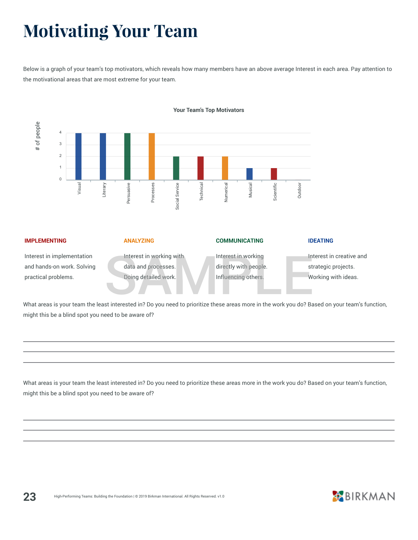### **Motivating Your Team**

Below is a graph of your team's top motivators, which reveals how many members have an above average Interest in each area. Pay attention to the motivational areas that are most extreme for your team.



#### **IMPLEMENTING** Interest in implementation and hands-on work. Solving practical problems. **ANALYZING** Interest in working with data and processes. Doing detailed work. **COMMUNICATING** Interest in working directly with people. Influencing others. **IDEATING** Interest in creative and strategic projects. Working with ideas. Interest in working with<br>data and processes.<br>Doing detailed work.<br>Sample influencing others.<br>Strinterested in 2 Do you need to prioritize these areas more in the work you do? Ba

What areas is your team the least interested in? Do you need to prioritize these areas more in the work you do? Based on your team's function, might this be a blind spot you need to be aware of?

What areas is your team the least interested in? Do you need to prioritize these areas more in the work you do? Based on your team's function, might this be a blind spot you need to be aware of?

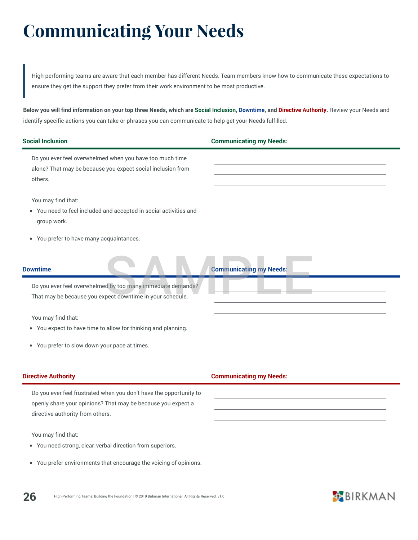### **Communicating Your Needs**

High-performing teams are aware that each member has different Needs. Team members know how to communicate these expectations to ensure they get the support they prefer from their work environment to be most productive.

**Below you will find information on your top three Needs, which are Social Inclusion, Downtime, and Directive Authority.** Review your Needs and identify specific actions you can take or phrases you can communicate to help get your Needs fulfilled.

| <b>Social Inclusion</b>                                                                                                                                                | <b>Communicating my Needs:</b> |
|------------------------------------------------------------------------------------------------------------------------------------------------------------------------|--------------------------------|
| Do you ever feel overwhelmed when you have too much time<br>alone? That may be because you expect social inclusion from<br>others.                                     |                                |
| You may find that:<br>You need to feel included and accepted in social activities and<br>group work.                                                                   |                                |
| You prefer to have many acquaintances.<br>$\bullet$                                                                                                                    |                                |
| <b>Downtime</b>                                                                                                                                                        | <b>Communicating my Needs:</b> |
| Do you ever feel overwhelmed by too many immediate demands?<br>That may be because you expect downtime in your schedule.                                               |                                |
| You may find that:<br>• You expect to have time to allow for thinking and planning.                                                                                    |                                |
| You prefer to slow down your pace at times.<br>$\bullet$                                                                                                               |                                |
| <b>Directive Authority</b>                                                                                                                                             | <b>Communicating my Needs:</b> |
| Do you ever feel frustrated when you don't have the opportunity to<br>openly share your opinions? That may be because you expect a<br>directive authority from others. |                                |
| You may find that:<br>• You need strong, clear, verbal direction from superiors.                                                                                       |                                |
| You prefer environments that encourage the voicing of opinions.<br>$\bullet$                                                                                           |                                |

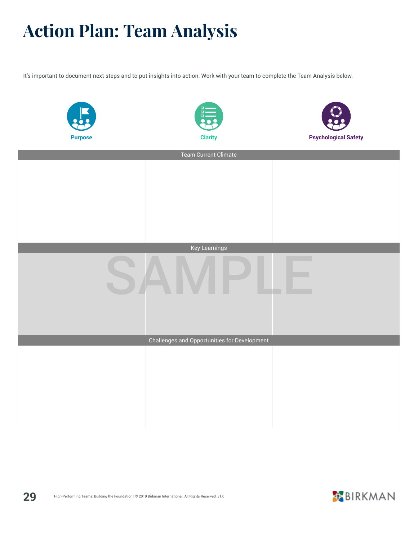## **Action Plan: Team Analysis**

It's important to document next steps and to put insights into action. Work with your team to complete the Team Analysis below.

| <b>Purpose</b>       | <b>Clarity</b>                               | <b>Psychological Safety</b> |  |  |
|----------------------|----------------------------------------------|-----------------------------|--|--|
|                      | Team Current Climate                         |                             |  |  |
|                      |                                              |                             |  |  |
|                      |                                              |                             |  |  |
|                      |                                              |                             |  |  |
|                      |                                              |                             |  |  |
|                      |                                              |                             |  |  |
| <b>Key Learnings</b> |                                              |                             |  |  |
|                      |                                              |                             |  |  |
|                      |                                              |                             |  |  |
|                      | Challenges and Opportunities for Development |                             |  |  |
|                      |                                              |                             |  |  |
|                      |                                              |                             |  |  |
|                      |                                              |                             |  |  |
|                      |                                              |                             |  |  |
|                      |                                              |                             |  |  |

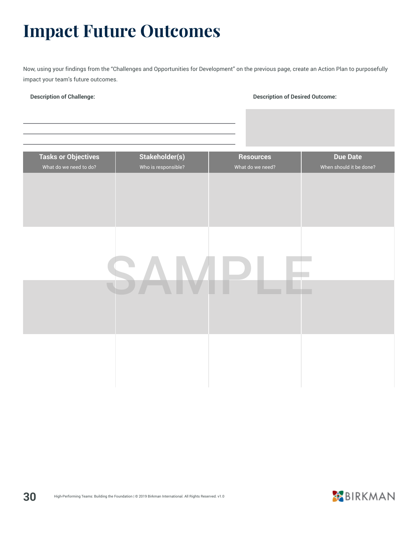### **Impact Future Outcomes**

Now, using your findings from the "Challenges and Opportunities for Development" on the previous page, create an Action Plan to purposefully impact your team's future outcomes.

#### **Description of Challenge: Description of Desired Outcome:**

| <b>Tasks or Objectives</b> | Stakeholder(s)      | <b>Resources</b> | <b>Due Date</b>         |
|----------------------------|---------------------|------------------|-------------------------|
| What do we need to do?     | Who is responsible? | What do we need? | When should it be done? |
|                            |                     |                  |                         |
|                            |                     |                  |                         |
|                            |                     |                  |                         |
|                            |                     |                  |                         |
|                            |                     |                  |                         |
|                            |                     |                  |                         |
|                            |                     |                  |                         |
|                            |                     |                  |                         |
|                            |                     |                  |                         |
|                            |                     |                  |                         |
|                            |                     |                  |                         |
|                            |                     |                  |                         |
|                            |                     |                  |                         |
|                            |                     |                  |                         |
|                            |                     |                  |                         |
|                            |                     |                  |                         |
|                            |                     |                  |                         |
|                            |                     |                  |                         |
|                            |                     |                  |                         |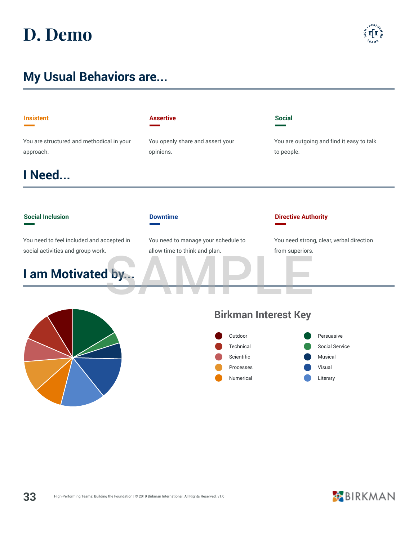### **D. Demo**

### **My Usual Behaviors are...**